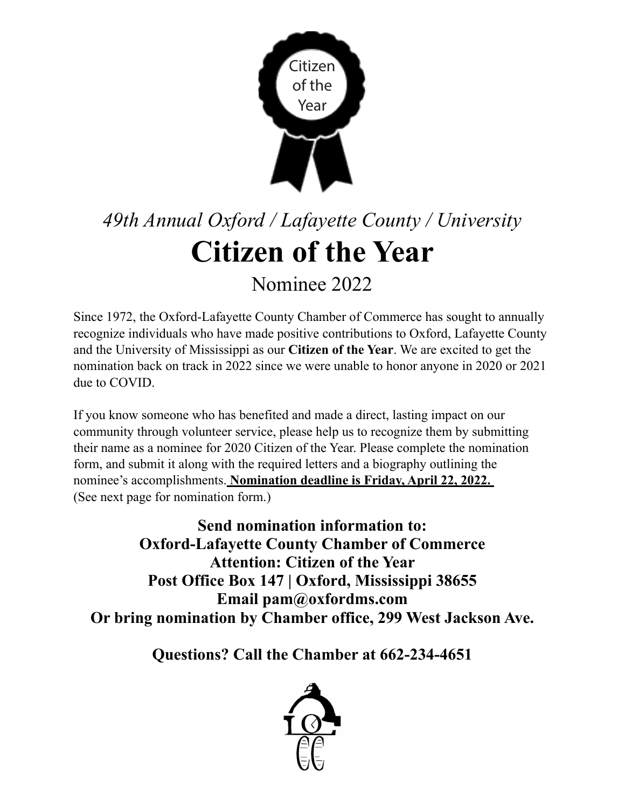

## *49th Annual Oxford / Lafayette County / University*  **Citizen of the Year**

Nominee 2022

Since 1972, the Oxford-Lafayette County Chamber of Commerce has sought to annually recognize individuals who have made positive contributions to Oxford, Lafayette County and the University of Mississippi as our **Citizen of the Year**. We are excited to get the nomination back on track in 2022 since we were unable to honor anyone in 2020 or 2021 due to COVID.

If you know someone who has benefited and made a direct, lasting impact on our community through volunteer service, please help us to recognize them by submitting their name as a nominee for 2020 Citizen of the Year. Please complete the nomination form, and submit it along with the required letters and a biography outlining the nominee's accomplishments. **Nomination deadline is Friday, April 22, 2022.**  (See next page for nomination form.)

**Send nomination information to: Oxford-Lafayette County Chamber of Commerce Attention: Citizen of the Year Post Office Box 147 | Oxford, Mississippi 38655 Email pam@oxfordms.com Or bring nomination by Chamber office, 299 West Jackson Ave.** 

**Questions? Call the Chamber at 662-234-4651**

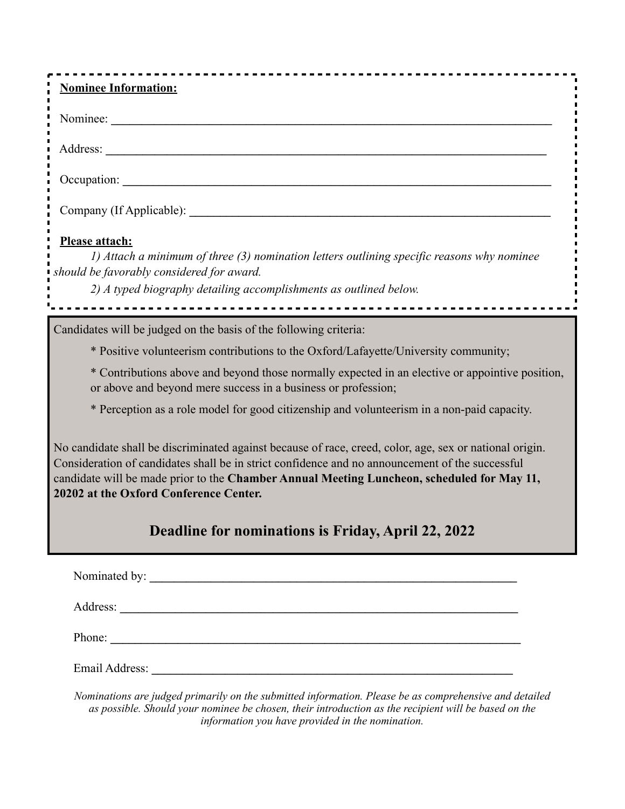| <b>Nominee Information:</b>                                                                                                                                                                                                                                                                                                                        |
|----------------------------------------------------------------------------------------------------------------------------------------------------------------------------------------------------------------------------------------------------------------------------------------------------------------------------------------------------|
|                                                                                                                                                                                                                                                                                                                                                    |
|                                                                                                                                                                                                                                                                                                                                                    |
|                                                                                                                                                                                                                                                                                                                                                    |
|                                                                                                                                                                                                                                                                                                                                                    |
| Please attach:<br>1) Attach a minimum of three (3) nomination letters outlining specific reasons why nominee<br>should be favorably considered for award.<br>2) A typed biography detailing accomplishments as outlined below.                                                                                                                     |
| Candidates will be judged on the basis of the following criteria:                                                                                                                                                                                                                                                                                  |
| * Positive volunteerism contributions to the Oxford/Lafayette/University community;                                                                                                                                                                                                                                                                |
| * Contributions above and beyond those normally expected in an elective or appointive position,<br>or above and beyond mere success in a business or profession;                                                                                                                                                                                   |
| * Perception as a role model for good citizenship and volunteerism in a non-paid capacity.                                                                                                                                                                                                                                                         |
| No candidate shall be discriminated against because of race, creed, color, age, sex or national origin.<br>Consideration of candidates shall be in strict confidence and no announcement of the successful<br>candidate will be made prior to the Chamber Annual Meeting Luncheon, scheduled for May 11,<br>20202 at the Oxford Conference Center. |
| Deadline for nominations is Friday, April 22, 2022                                                                                                                                                                                                                                                                                                 |
|                                                                                                                                                                                                                                                                                                                                                    |
|                                                                                                                                                                                                                                                                                                                                                    |
| Phone:                                                                                                                                                                                                                                                                                                                                             |
|                                                                                                                                                                                                                                                                                                                                                    |

*Nominations are judged primarily on the submitted information. Please be as comprehensive and detailed as possible. Should your nominee be chosen, their introduction as the recipient will be based on the information you have provided in the nomination.*